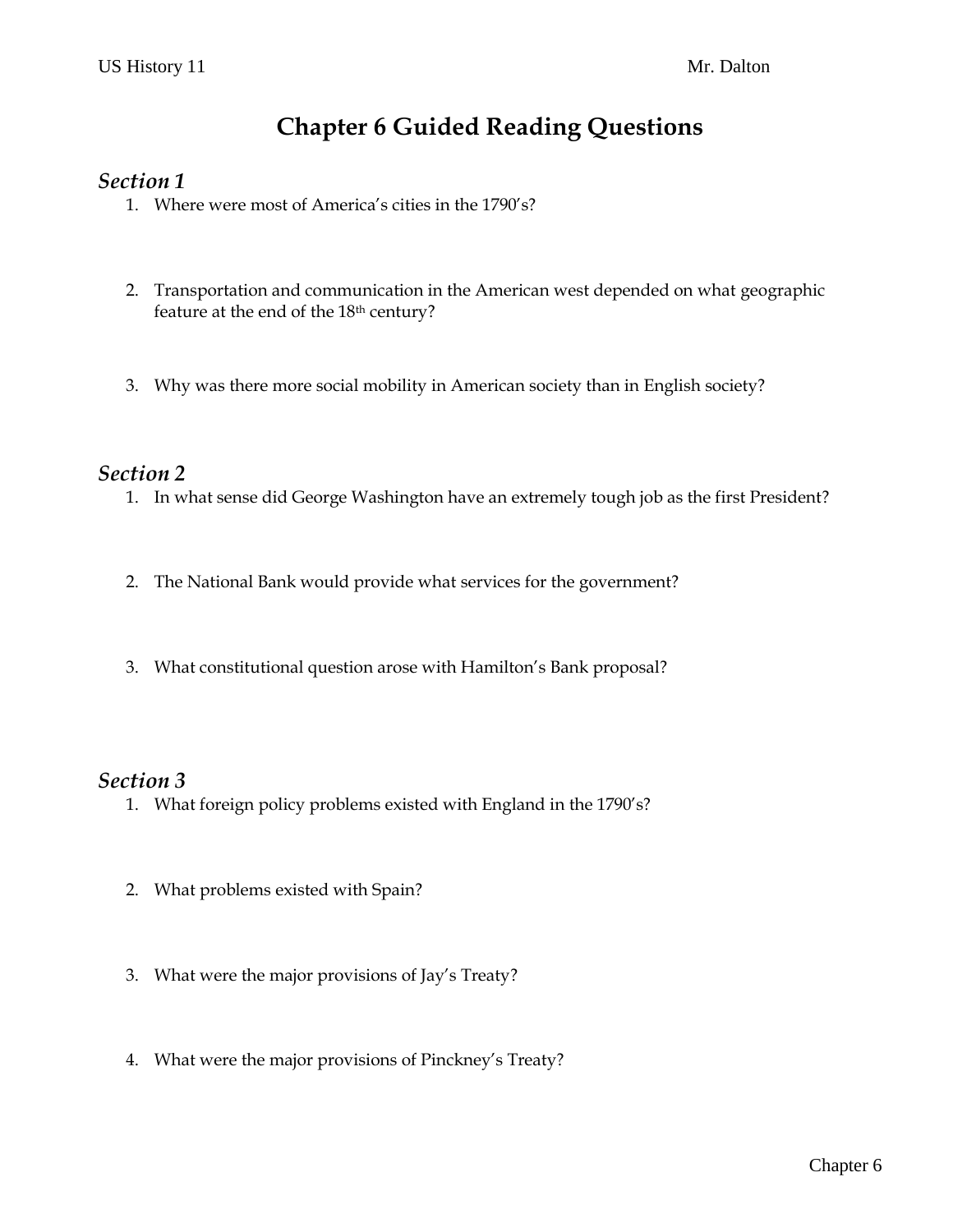# **Chapter 6 Guided Reading Questions**

### *Section 1*

- 1. Where were most of America's cities in the 1790's?
- 2. Transportation and communication in the American west depended on what geographic feature at the end of the 18th century?
- 3. Why was there more social mobility in American society than in English society?

## *Section 2*

- 1. In what sense did George Washington have an extremely tough job as the first President?
- 2. The National Bank would provide what services for the government?
- 3. What constitutional question arose with Hamilton's Bank proposal?

### *Section 3*

- 1. What foreign policy problems existed with England in the 1790's?
- 2. What problems existed with Spain?
- 3. What were the major provisions of Jay's Treaty?
- 4. What were the major provisions of Pinckney's Treaty?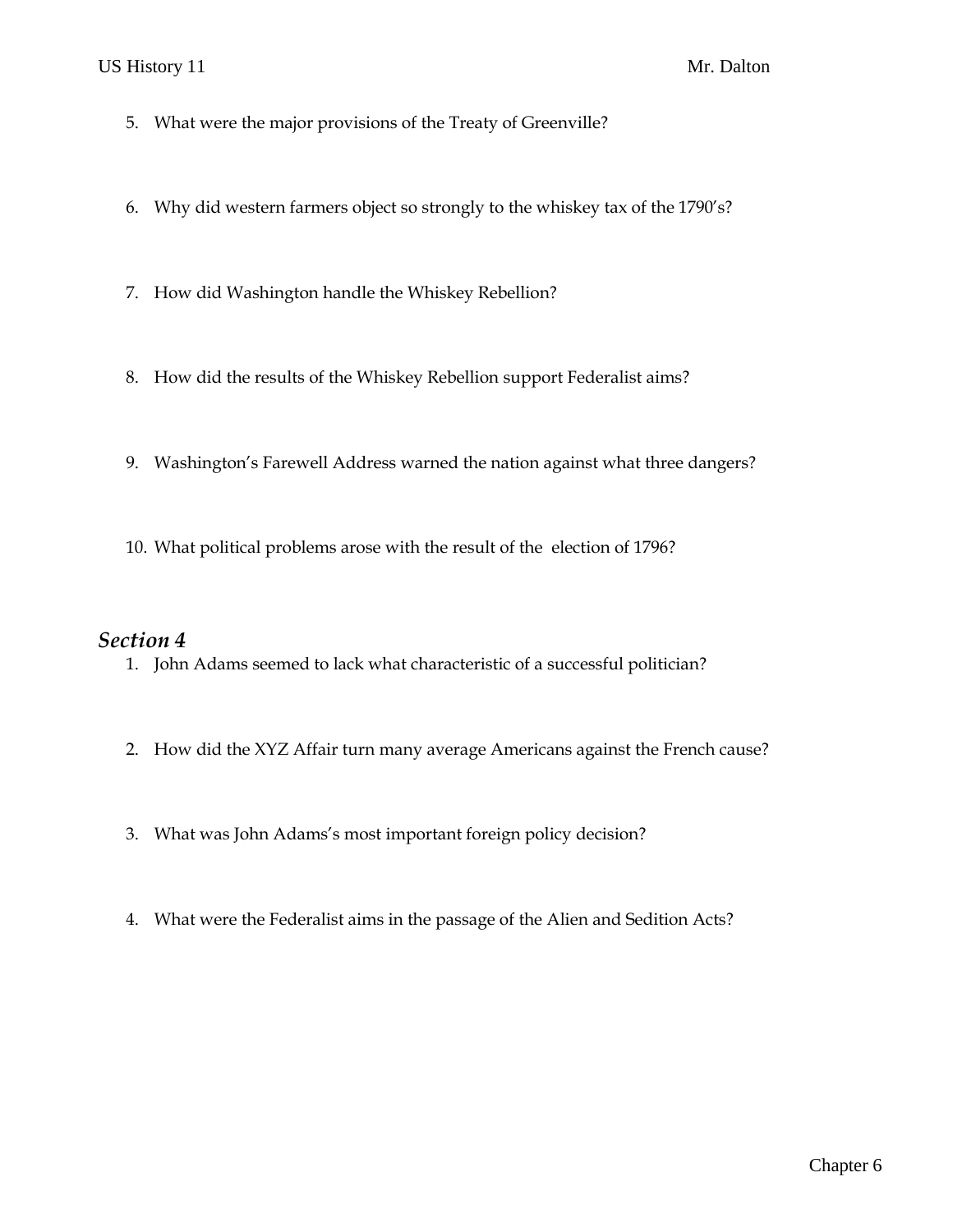#### US History 11 Mr. Dalton

- 5. What were the major provisions of the Treaty of Greenville?
- 6. Why did western farmers object so strongly to the whiskey tax of the 1790's?
- 7. How did Washington handle the Whiskey Rebellion?
- 8. How did the results of the Whiskey Rebellion support Federalist aims?
- 9. Washington's Farewell Address warned the nation against what three dangers?
- 10. What political problems arose with the result of the election of 1796?

#### *Section 4*

- 1. John Adams seemed to lack what characteristic of a successful politician?
- 2. How did the XYZ Affair turn many average Americans against the French cause?
- 3. What was John Adams's most important foreign policy decision?
- 4. What were the Federalist aims in the passage of the Alien and Sedition Acts?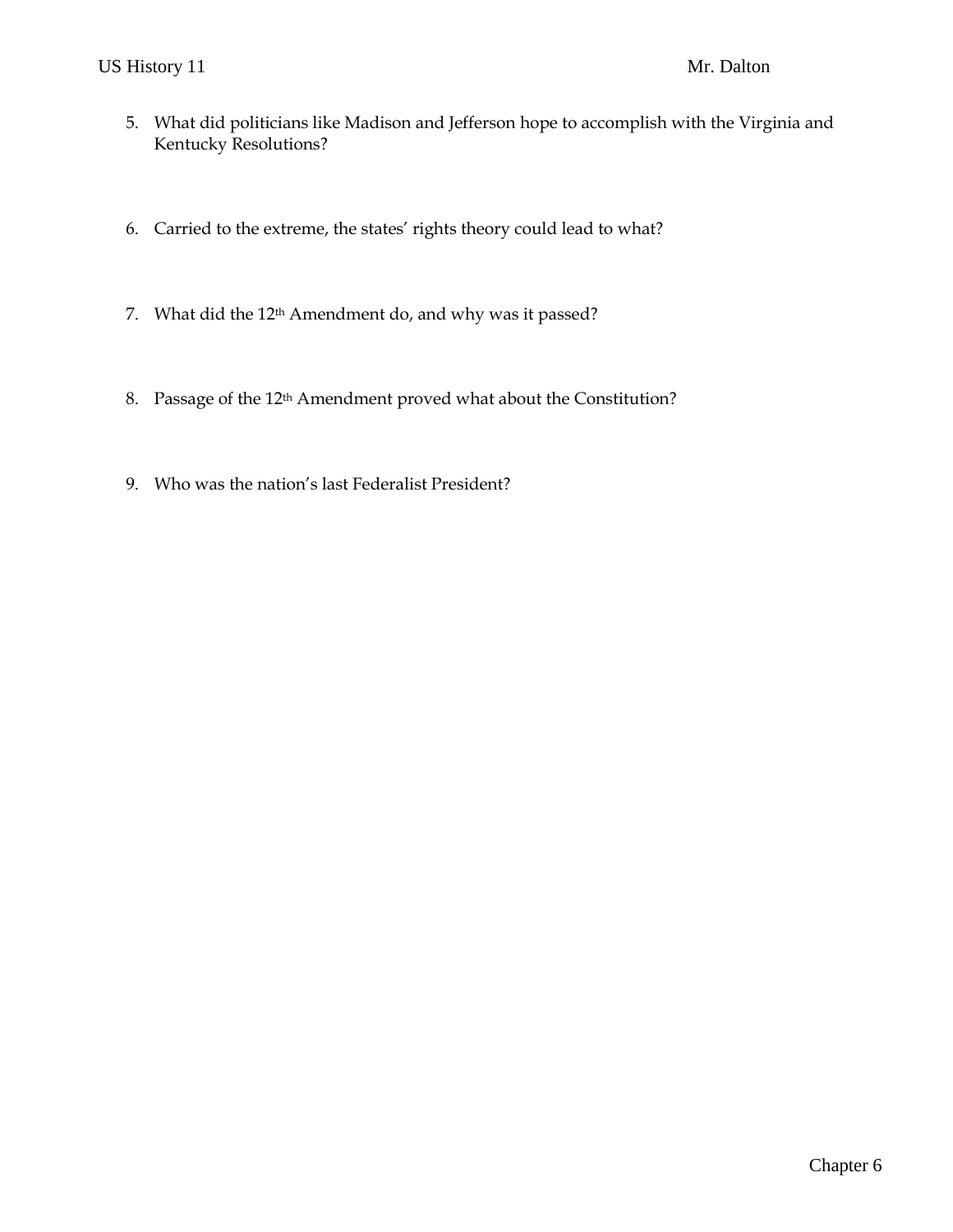- 5. What did politicians like Madison and Jefferson hope to accomplish with the Virginia and Kentucky Resolutions?
- 6. Carried to the extreme, the states' rights theory could lead to what?
- 7. What did the 12th Amendment do, and why was it passed?
- 8. Passage of the 12<sup>th</sup> Amendment proved what about the Constitution?
- 9. Who was the nation's last Federalist President?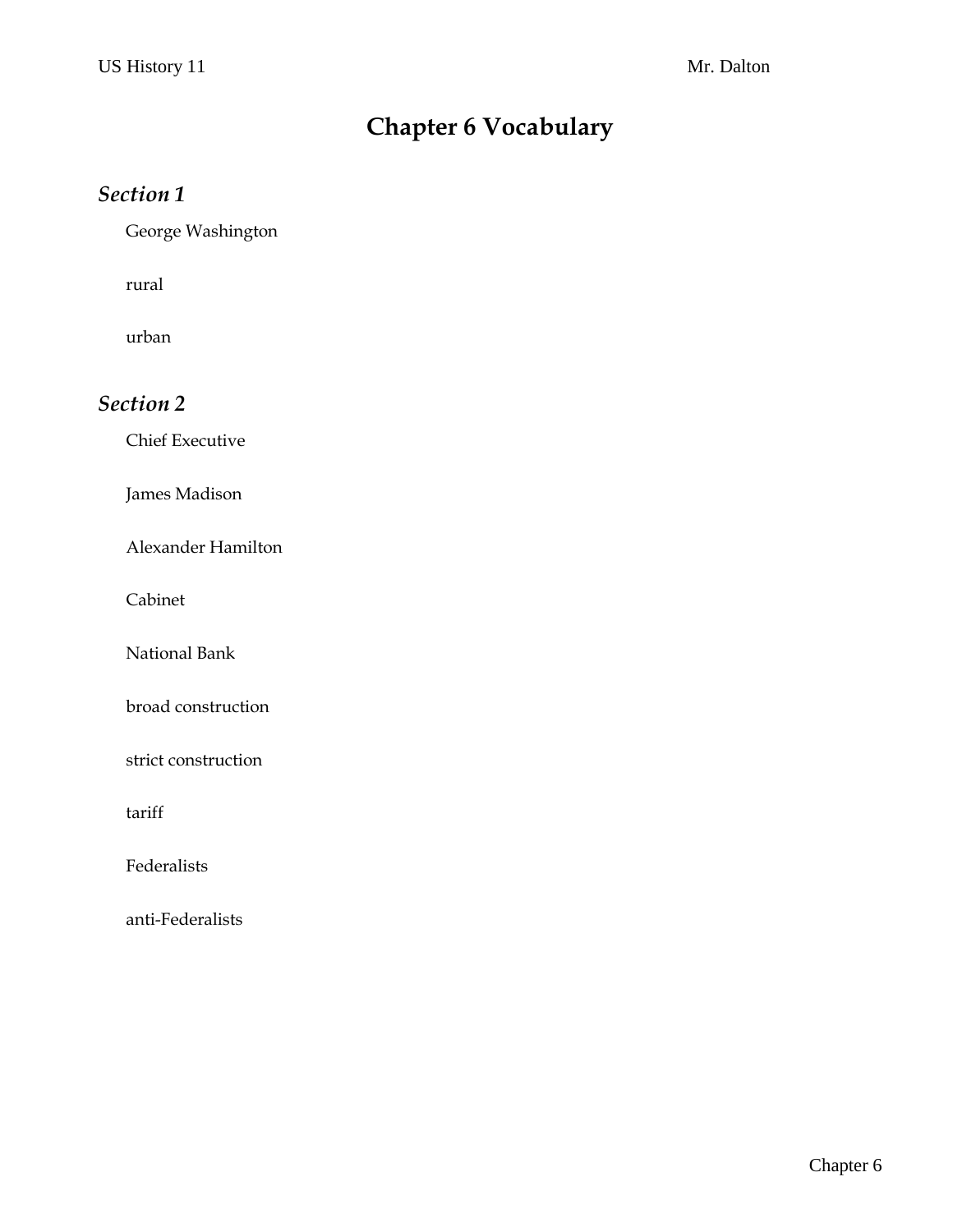# **Chapter 6 Vocabulary**

## *Section 1*

George Washington

rural

urban

# *Section 2*

Chief Executive

James Madison

Alexander Hamilton

Cabinet

National Bank

broad construction

strict construction

tariff

Federalists

anti-Federalists